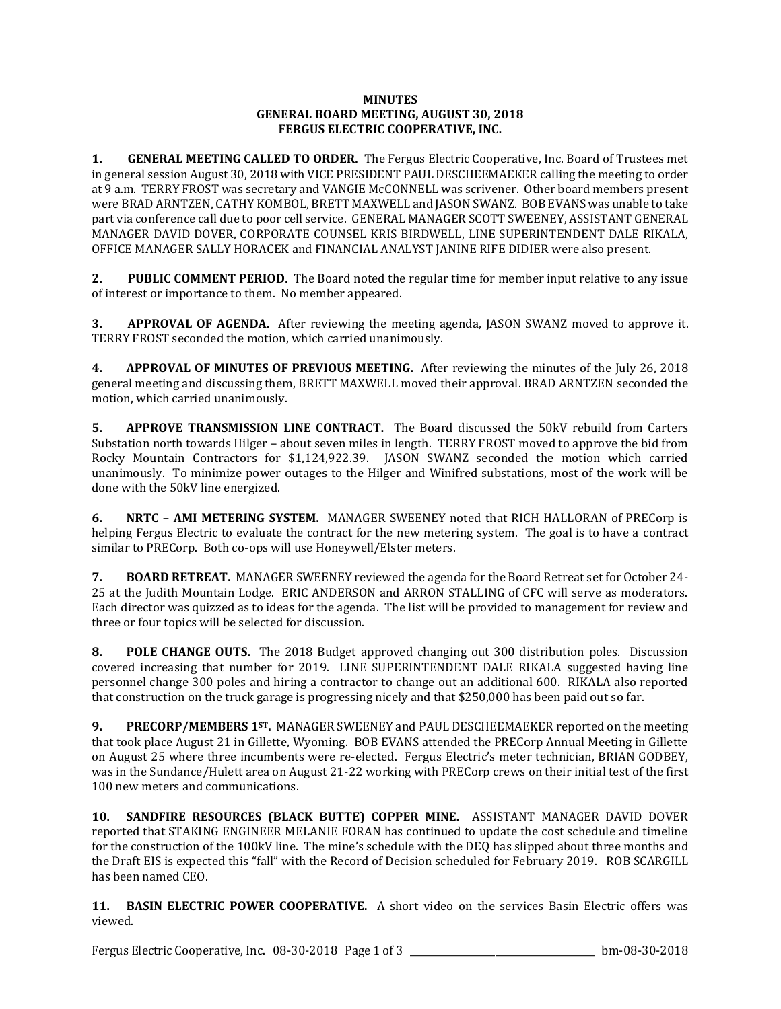## **MINUTES GENERAL BOARD MEETING, AUGUST 30, 2018 FERGUS ELECTRIC COOPERATIVE, INC.**

**1. GENERAL MEETING CALLED TO ORDER.** The Fergus Electric Cooperative, Inc. Board of Trustees met in general session August 30, 2018 with VICE PRESIDENT PAUL DESCHEEMAEKER calling the meeting to order at 9 a.m. TERRY FROST was secretary and VANGIE McCONNELL was scrivener. Other board members present were BRAD ARNTZEN, CATHY KOMBOL, BRETT MAXWELL and JASON SWANZ. BOB EVANS was unable to take part via conference call due to poor cell service. GENERAL MANAGER SCOTT SWEENEY, ASSISTANT GENERAL MANAGER DAVID DOVER, CORPORATE COUNSEL KRIS BIRDWELL, LINE SUPERINTENDENT DALE RIKALA, OFFICE MANAGER SALLY HORACEK and FINANCIAL ANALYST JANINE RIFE DIDIER were also present.

**2. PUBLIC COMMENT PERIOD.** The Board noted the regular time for member input relative to any issue of interest or importance to them. No member appeared.

**3. APPROVAL OF AGENDA.** After reviewing the meeting agenda, JASON SWANZ moved to approve it. TERRY FROST seconded the motion, which carried unanimously.

**4. APPROVAL OF MINUTES OF PREVIOUS MEETING.** After reviewing the minutes of the July 26, 2018 general meeting and discussing them, BRETT MAXWELL moved their approval. BRAD ARNTZEN seconded the motion, which carried unanimously.

**5. APPROVE TRANSMISSION LINE CONTRACT.** The Board discussed the 50kV rebuild from Carters Substation north towards Hilger – about seven miles in length. TERRY FROST moved to approve the bid from Rocky Mountain Contractors for \$1,124,922.39. JASON SWANZ seconded the motion which carried unanimously. To minimize power outages to the Hilger and Winifred substations, most of the work will be done with the 50kV line energized.

**6. NRTC – AMI METERING SYSTEM.** MANAGER SWEENEY noted that RICH HALLORAN of PRECorp is helping Fergus Electric to evaluate the contract for the new metering system. The goal is to have a contract similar to PRECorp. Both co-ops will use Honeywell/Elster meters.

**7. BOARD RETREAT.** MANAGER SWEENEY reviewed the agenda for the Board Retreat set for October 24- 25 at the Judith Mountain Lodge. ERIC ANDERSON and ARRON STALLING of CFC will serve as moderators. Each director was quizzed as to ideas for the agenda. The list will be provided to management for review and three or four topics will be selected for discussion.

**8. POLE CHANGE OUTS.** The 2018 Budget approved changing out 300 distribution poles. Discussion covered increasing that number for 2019. LINE SUPERINTENDENT DALE RIKALA suggested having line personnel change 300 poles and hiring a contractor to change out an additional 600. RIKALA also reported that construction on the truck garage is progressing nicely and that \$250,000 has been paid out so far.

**9. PRECORP/MEMBERS 1ST.** MANAGER SWEENEY and PAUL DESCHEEMAEKER reported on the meeting that took place August 21 in Gillette, Wyoming. BOB EVANS attended the PRECorp Annual Meeting in Gillette on August 25 where three incumbents were re-elected. Fergus Electric's meter technician, BRIAN GODBEY, was in the Sundance/Hulett area on August 21-22 working with PRECorp crews on their initial test of the first 100 new meters and communications.

**10. SANDFIRE RESOURCES (BLACK BUTTE) COPPER MINE.** ASSISTANT MANAGER DAVID DOVER reported that STAKING ENGINEER MELANIE FORAN has continued to update the cost schedule and timeline for the construction of the 100kV line. The mine's schedule with the DEQ has slipped about three months and the Draft EIS is expected this "fall" with the Record of Decision scheduled for February 2019. ROB SCARGILL has been named CEO.

**11. BASIN ELECTRIC POWER COOPERATIVE.** A short video on the services Basin Electric offers was viewed.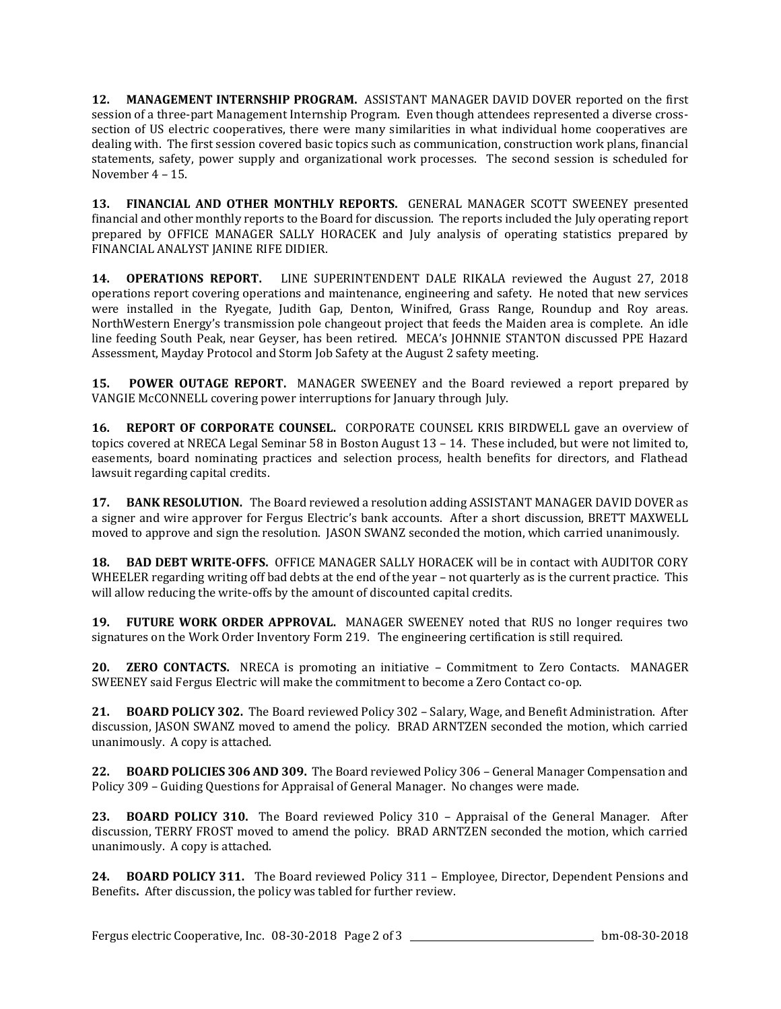**12. MANAGEMENT INTERNSHIP PROGRAM.** ASSISTANT MANAGER DAVID DOVER reported on the first session of a three-part Management Internship Program. Even though attendees represented a diverse crosssection of US electric cooperatives, there were many similarities in what individual home cooperatives are dealing with. The first session covered basic topics such as communication, construction work plans, financial statements, safety, power supply and organizational work processes. The second session is scheduled for November 4 – 15.

**13. FINANCIAL AND OTHER MONTHLY REPORTS.** GENERAL MANAGER SCOTT SWEENEY presented financial and other monthly reports to the Board for discussion. The reports included the July operating report prepared by OFFICE MANAGER SALLY HORACEK and July analysis of operating statistics prepared by FINANCIAL ANALYST JANINE RIFE DIDIER.

**14. OPERATIONS REPORT.** LINE SUPERINTENDENT DALE RIKALA reviewed the August 27, 2018 operations report covering operations and maintenance, engineering and safety. He noted that new services were installed in the Ryegate, Judith Gap, Denton, Winifred, Grass Range, Roundup and Roy areas. NorthWestern Energy's transmission pole changeout project that feeds the Maiden area is complete. An idle line feeding South Peak, near Geyser, has been retired. MECA's JOHNNIE STANTON discussed PPE Hazard Assessment, Mayday Protocol and Storm Job Safety at the August 2 safety meeting.

**15. POWER OUTAGE REPORT.** MANAGER SWEENEY and the Board reviewed a report prepared by VANGIE McCONNELL covering power interruptions for January through July.

**16. REPORT OF CORPORATE COUNSEL.** CORPORATE COUNSEL KRIS BIRDWELL gave an overview of topics covered at NRECA Legal Seminar 58 in Boston August 13 – 14. These included, but were not limited to, easements, board nominating practices and selection process, health benefits for directors, and Flathead lawsuit regarding capital credits.

**17. BANK RESOLUTION.** The Board reviewed a resolution adding ASSISTANT MANAGER DAVID DOVER as a signer and wire approver for Fergus Electric's bank accounts. After a short discussion, BRETT MAXWELL moved to approve and sign the resolution. JASON SWANZ seconded the motion, which carried unanimously.

**18. BAD DEBT WRITE-OFFS.** OFFICE MANAGER SALLY HORACEK will be in contact with AUDITOR CORY WHEELER regarding writing off bad debts at the end of the year – not quarterly as is the current practice. This will allow reducing the write-offs by the amount of discounted capital credits.

**19. FUTURE WORK ORDER APPROVAL.** MANAGER SWEENEY noted that RUS no longer requires two signatures on the Work Order Inventory Form 219. The engineering certification is still required.

**20. ZERO CONTACTS.** NRECA is promoting an initiative – Commitment to Zero Contacts. MANAGER SWEENEY said Fergus Electric will make the commitment to become a Zero Contact co-op.

**21. BOARD POLICY 302.** The Board reviewed Policy 302 – Salary, Wage, and Benefit Administration. After discussion, JASON SWANZ moved to amend the policy. BRAD ARNTZEN seconded the motion, which carried unanimously. A copy is attached.

**22. BOARD POLICIES 306 AND 309.** The Board reviewed Policy 306 – General Manager Compensation and Policy 309 – Guiding Questions for Appraisal of General Manager. No changes were made.

**23. BOARD POLICY 310.** The Board reviewed Policy 310 – Appraisal of the General Manager. After discussion, TERRY FROST moved to amend the policy. BRAD ARNTZEN seconded the motion, which carried unanimously. A copy is attached.

**24. BOARD POLICY 311.** The Board reviewed Policy 311 – Employee, Director, Dependent Pensions and Benefits**.** After discussion, the policy was tabled for further review.